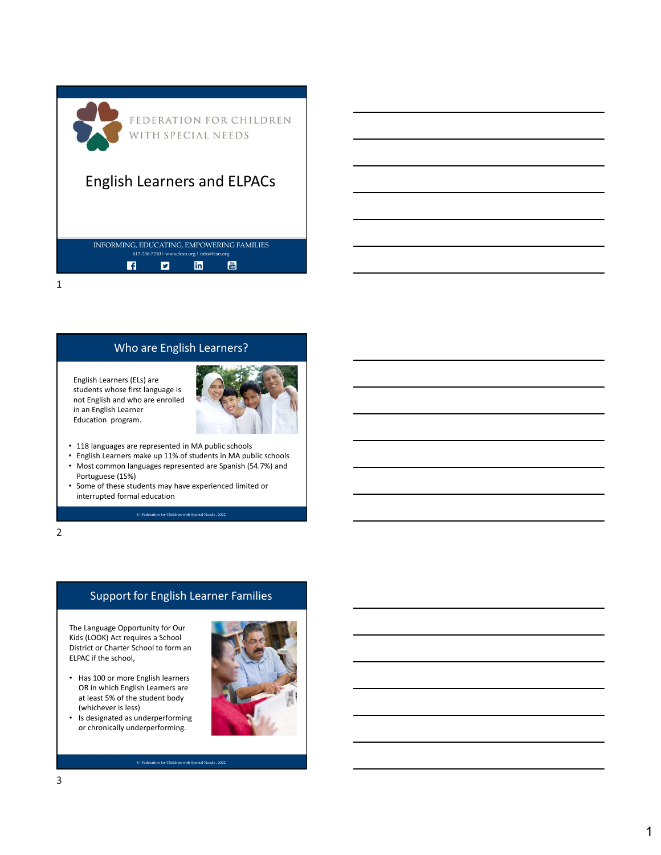| FEDERATION FOR CHILDREN<br>WITH SPECIAL NEEDS                                                                                                                               |  |
|-----------------------------------------------------------------------------------------------------------------------------------------------------------------------------|--|
| <b>English Learners and ELPACs</b>                                                                                                                                          |  |
| INFORMING, EDUCATING, EMPOWERING FAMILIES                                                                                                                                   |  |
| 617-236-7210   www.fcsn.org   info@fcsn.org<br>$\mathbf{m}$<br>Tube<br>l fl<br><b>y</b><br>1                                                                                |  |
|                                                                                                                                                                             |  |
| Who are English Learners?                                                                                                                                                   |  |
| English Learners (ELs) are<br>students whose first language is<br>not English and who are enrolled<br>in an English Learner                                                 |  |
| Education program.<br>• 118 languages are represented in MA public schools<br>• English Learners make up 11% of students in MA public schools                               |  |
| • Most common languages represented are Spanish (54.7%) and<br>Portuguese (15%)<br>• Some of these students may have experienced limited or<br>interrupted formal education |  |
| © Federation for Children with Special Needs, 2022                                                                                                                          |  |
| 2                                                                                                                                                                           |  |

# Who are English Learners?



- 118 languages are represented in MA public schools
- English Learners make up 11% of students in MA public schools Portuguese (15%)
- Some of these students may have experienced limited or interrupted formal education

# Support for English Learner Families

The Language Opportunity for Our Kids (LOOK) Act requires a School District or Charter School to form an ELPAC if the school,

- at least 5% of the student body (whichever is less)
- Is designated as underperforming or chronically underperforming.

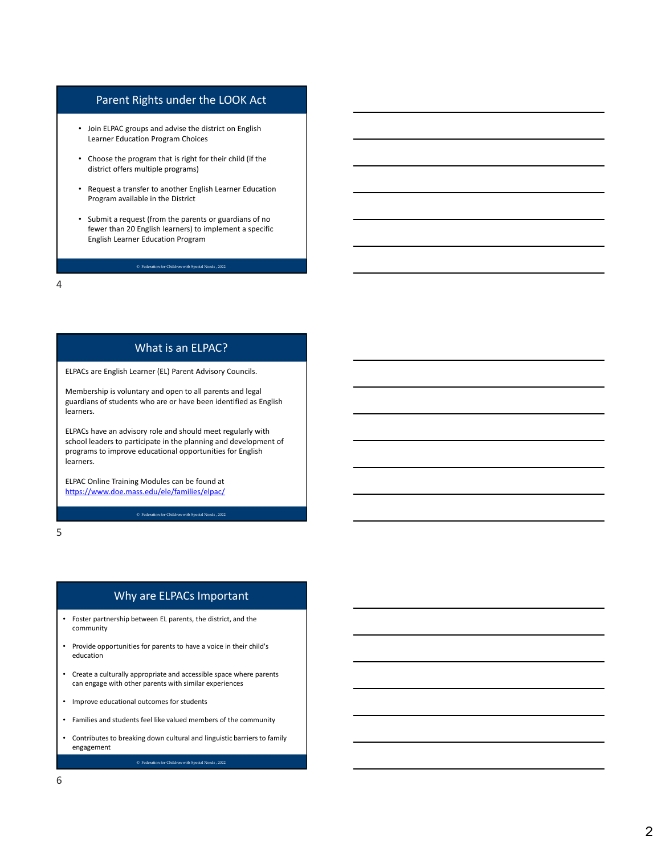## Parent Rights under the LOOK Act

- Join ELPAC groups and advise the district on English Learner Education Program Choices
- Choose the program that is right for their child (if the district offers multiple programs)
- Request a transfer to another English Learner Education Program available in the District
- Submit a request (from the parents or guardians of no fewer than 20 English learners) to implement a specific English Learner Education Program

© Federation for Children with Special Needs , 2022

4

# What is an ELPAC?

ELPACs are English Learner (EL) Parent Advisory Councils.

Membership is voluntary and open to all parents and legal guardians of students who are or have been identified as English learners.

ELPACs have an advisory role and should meet regularly with school leaders to participate in the planning and development of programs to improve educational opportunities for English learners. Elence a culturally appropriate and accessible space where parents,<br>
Elence has an advisory role and should meet regularly with<br>
school leaders to parentent in the planning and developments of<br>
learness.<br>
ELPAC Online Trai

ELPAC Online Training Modules can be found at https://www.doe.mass.edu/ele/families/elpac/

 $5<sub>5</sub>$ 

## Why are ELPACs Important

- Foster partnership between EL parents, the district, and the community
- Provide opportunities for parents to have a voice in their child's education
- can engage with other parents with similar experiences
- Improve educational outcomes for students
- Families and students feel like valued members of the community
- Contributes to breaking down cultural and linguistic barriers to family engagement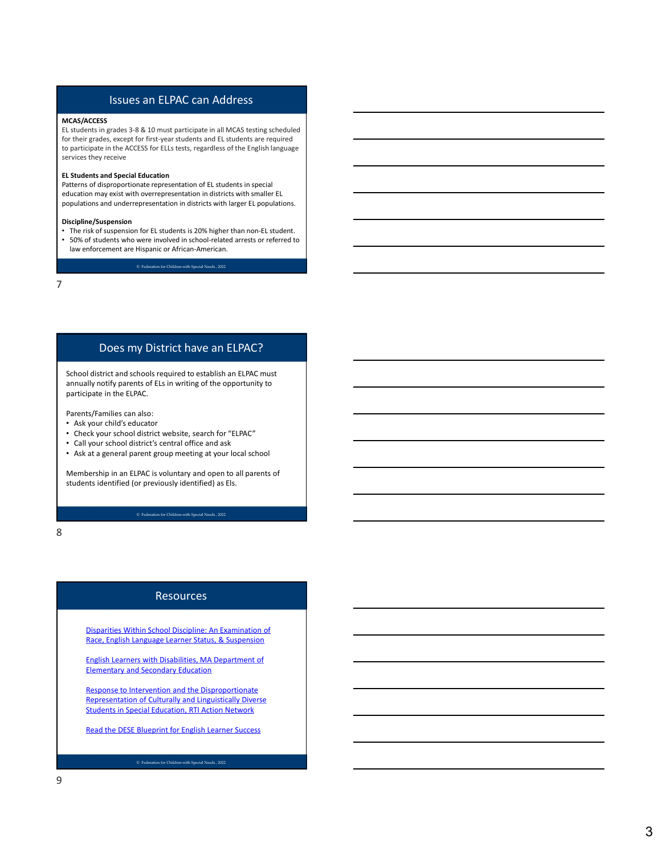# Issues an ELPAC can Address

### MCAS/ACCESS

EL students in grades 3-8 & 10 must participate in all MCAS testing scheduled **ISSUES an ELPAC can Address**<br>**EL students in grades** 3-8 & 10 must participate in all MCAS testing scheduled<br>for fireir grades, except for first-year students and EL students are required<br>to participate in the ACCESS for to participate in the ACCESS for ELLs tests, regardless of the English language **ISSUES an ELPAC can Address**<br> **ELEVIDENTS AND THE SERVICE ASSECT ASSECT ASSECT ASSECT ASSECT ASSECT ASSECT AND THE SERVICE OF THE SERVICE OF THE SERVICE OF THE SERVICE OF DESCRIPTION OF THE SERVICE SERVICE AND PROTECT AND ISSUES and ELPAC can Address**<br> **EL students in grades 3-8 & 10 must participate in all MCAS testing scheduled**<br>
for their grades, except for first-year students and EL students are required<br>
to participate in the ACCESS f CONSIDENT AND A 80 UNITS OF THE CHIRAL CONSIDERATION CONSIDER THE CONSIDER CONSIDER THE CONSIDER THE CONSIDER THE CONSIDER THE CONSIDER THE CONSIDER THE CONSIDER THE CONSIDER THE CONSIDER THE CONSIDER THE CONSIDERED CONSID **ACALCES**<br> **Annihops in grades 3-8 & 10 must participate in all MCAS testing scheduled**<br>
an individually metric gradients of Electronic materials of the English language<br> **Process they receive for First verse control of th** 

Patterns of disproportionate representation of EL students in special education may exist with overrepresentation in districts with smaller EL populations and underrepresentation in districts with larger EL populations.

### Discipline/Suspension

• The risk of suspension for EL students is 20% higher than non-EL student. • 50% of students who were involved in school-related arrests or referred to law enforcement are Hispanic or African-American.

© Federation for Children with Special Needs , 2022

7

## Does my District have an ELPAC?

participate in the ELPAC.

Parents/Families can also:

- Ask your child's educator
- Check your school district website, search for "ELPAC"
- Call your school district's central office and ask
- Ask at a general parent group meeting at your local school

Membership in an ELPAC is voluntary and open to all parents of students identified (or previously identified) as Els.

8 and 2010 and 2010 and 2010 and 2010 and 2010 and 2010 and 2010 and 2010 and 2010 and 2010 and 2010 and 2010

## Resources

Disparities Within School Discipline: An Examination of Race, English Language Learner Status, & Suspension

English Learners with Disabilities, MA Department of Elementary and Secondary Education

Response to Intervention and the Disproportionate Representation of Culturally and Linguistically Diverse Students in Special Education, RTI Action Network Pership in an EUPAC is voluntary and open to all parents of<br>this identified (or previously identified) as Els.<br>
Successive Successive Successive Successive Successive Successive Successive Successive Successive Successive